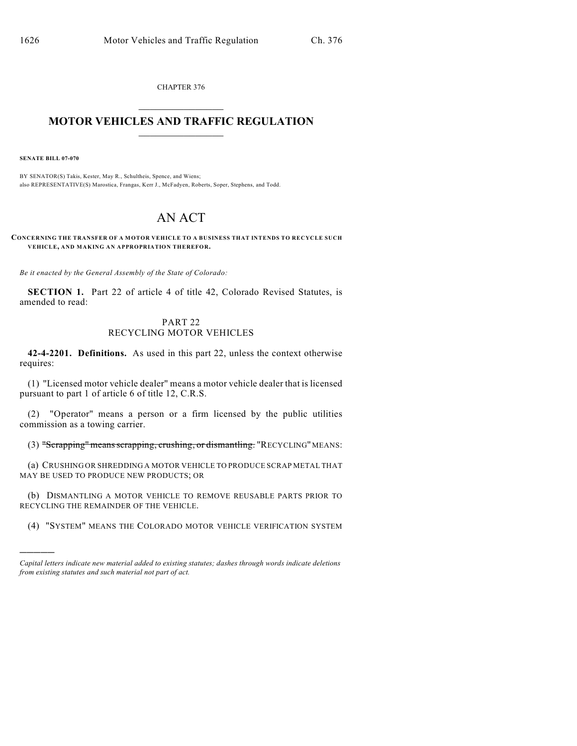CHAPTER 376  $\mathcal{L}_\text{max}$  . The set of the set of the set of the set of the set of the set of the set of the set of the set of the set of the set of the set of the set of the set of the set of the set of the set of the set of the set

## **MOTOR VEHICLES AND TRAFFIC REGULATION**  $\frac{1}{2}$  ,  $\frac{1}{2}$  ,  $\frac{1}{2}$  ,  $\frac{1}{2}$  ,  $\frac{1}{2}$  ,  $\frac{1}{2}$  ,  $\frac{1}{2}$  ,  $\frac{1}{2}$

**SENATE BILL 07-070**

)))))

BY SENATOR(S) Takis, Kester, May R., Schultheis, Spence, and Wiens; also REPRESENTATIVE(S) Marostica, Frangas, Kerr J., McFadyen, Roberts, Soper, Stephens, and Todd.

## AN ACT

**CONCERNING THE TRANSFER OF A MOTOR VEHICLE TO A BUSINESS THAT INTENDS TO RECYCLE SUCH VEHICLE, AND MAKING AN APPROPRIATION THEREFOR.**

*Be it enacted by the General Assembly of the State of Colorado:*

**SECTION 1.** Part 22 of article 4 of title 42, Colorado Revised Statutes, is amended to read:

## PART 22 RECYCLING MOTOR VEHICLES

**42-4-2201. Definitions.** As used in this part 22, unless the context otherwise requires:

(1) "Licensed motor vehicle dealer" means a motor vehicle dealer that is licensed pursuant to part 1 of article 6 of title 12, C.R.S.

(2) "Operator" means a person or a firm licensed by the public utilities commission as a towing carrier.

(3) "Scrapping" means scrapping, crushing, or dismantling. "RECYCLING" MEANS:

(a) CRUSHING OR SHREDDING A MOTOR VEHICLE TO PRODUCE SCRAP METAL THAT MAY BE USED TO PRODUCE NEW PRODUCTS; OR

(b) DISMANTLING A MOTOR VEHICLE TO REMOVE REUSABLE PARTS PRIOR TO RECYCLING THE REMAINDER OF THE VEHICLE.

(4) "SYSTEM" MEANS THE COLORADO MOTOR VEHICLE VERIFICATION SYSTEM

*Capital letters indicate new material added to existing statutes; dashes through words indicate deletions from existing statutes and such material not part of act.*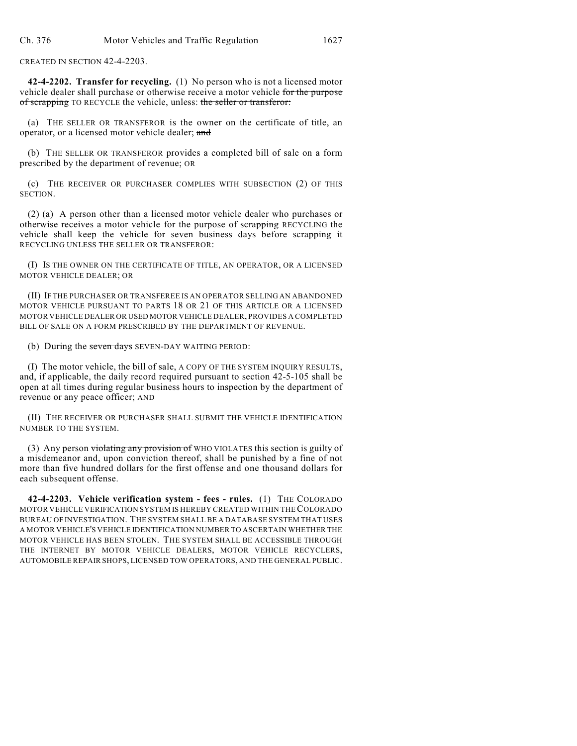CREATED IN SECTION 42-4-2203.

**42-4-2202. Transfer for recycling.** (1) No person who is not a licensed motor vehicle dealer shall purchase or otherwise receive a motor vehicle for the purpose of scrapping TO RECYCLE the vehicle, unless: the seller or transferor:

(a) THE SELLER OR TRANSFEROR is the owner on the certificate of title, an operator, or a licensed motor vehicle dealer; and

(b) THE SELLER OR TRANSFEROR provides a completed bill of sale on a form prescribed by the department of revenue; OR

(c) THE RECEIVER OR PURCHASER COMPLIES WITH SUBSECTION (2) OF THIS SECTION.

(2) (a) A person other than a licensed motor vehicle dealer who purchases or otherwise receives a motor vehicle for the purpose of scrapping RECYCLING the vehicle shall keep the vehicle for seven business days before scrapping it RECYCLING UNLESS THE SELLER OR TRANSFEROR:

(I) IS THE OWNER ON THE CERTIFICATE OF TITLE, AN OPERATOR, OR A LICENSED MOTOR VEHICLE DEALER; OR

(II) IF THE PURCHASER OR TRANSFEREE IS AN OPERATOR SELLING AN ABANDONED MOTOR VEHICLE PURSUANT TO PARTS 18 OR 21 OF THIS ARTICLE OR A LICENSED MOTOR VEHICLE DEALER OR USED MOTOR VEHICLE DEALER, PROVIDES A COMPLETED BILL OF SALE ON A FORM PRESCRIBED BY THE DEPARTMENT OF REVENUE.

(b) During the seven days SEVEN-DAY WAITING PERIOD:

(I) The motor vehicle, the bill of sale, A COPY OF THE SYSTEM INQUIRY RESULTS, and, if applicable, the daily record required pursuant to section 42-5-105 shall be open at all times during regular business hours to inspection by the department of revenue or any peace officer; AND

(II) THE RECEIVER OR PURCHASER SHALL SUBMIT THE VEHICLE IDENTIFICATION NUMBER TO THE SYSTEM.

(3) Any person violating any provision of WHO VIOLATES this section is guilty of a misdemeanor and, upon conviction thereof, shall be punished by a fine of not more than five hundred dollars for the first offense and one thousand dollars for each subsequent offense.

**42-4-2203. Vehicle verification system - fees - rules.** (1) THE COLORADO MOTOR VEHICLE VERIFICATION SYSTEM IS HEREBY CREATED WITHIN THE COLORADO BUREAU OF INVESTIGATION. THE SYSTEM SHALL BE A DATABASE SYSTEM THAT USES A MOTOR VEHICLE'S VEHICLE IDENTIFICATION NUMBER TO ASCERTAIN WHETHER THE MOTOR VEHICLE HAS BEEN STOLEN. THE SYSTEM SHALL BE ACCESSIBLE THROUGH THE INTERNET BY MOTOR VEHICLE DEALERS, MOTOR VEHICLE RECYCLERS, AUTOMOBILE REPAIR SHOPS, LICENSED TOW OPERATORS, AND THE GENERAL PUBLIC.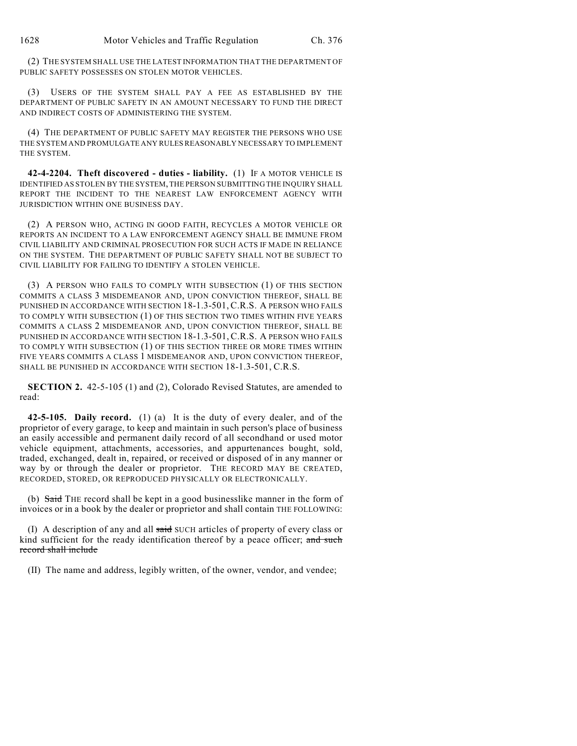(2) THE SYSTEM SHALL USE THE LATEST INFORMATION THAT THE DEPARTMENT OF PUBLIC SAFETY POSSESSES ON STOLEN MOTOR VEHICLES.

(3) USERS OF THE SYSTEM SHALL PAY A FEE AS ESTABLISHED BY THE DEPARTMENT OF PUBLIC SAFETY IN AN AMOUNT NECESSARY TO FUND THE DIRECT AND INDIRECT COSTS OF ADMINISTERING THE SYSTEM.

(4) THE DEPARTMENT OF PUBLIC SAFETY MAY REGISTER THE PERSONS WHO USE THE SYSTEM AND PROMULGATE ANY RULES REASONABLY NECESSARY TO IMPLEMENT THE SYSTEM.

**42-4-2204. Theft discovered - duties - liability.** (1) IF A MOTOR VEHICLE IS IDENTIFIED AS STOLEN BY THE SYSTEM, THE PERSON SUBMITTING THE INQUIRY SHALL REPORT THE INCIDENT TO THE NEAREST LAW ENFORCEMENT AGENCY WITH JURISDICTION WITHIN ONE BUSINESS DAY.

(2) A PERSON WHO, ACTING IN GOOD FAITH, RECYCLES A MOTOR VEHICLE OR REPORTS AN INCIDENT TO A LAW ENFORCEMENT AGENCY SHALL BE IMMUNE FROM CIVIL LIABILITY AND CRIMINAL PROSECUTION FOR SUCH ACTS IF MADE IN RELIANCE ON THE SYSTEM. THE DEPARTMENT OF PUBLIC SAFETY SHALL NOT BE SUBJECT TO CIVIL LIABILITY FOR FAILING TO IDENTIFY A STOLEN VEHICLE.

(3) A PERSON WHO FAILS TO COMPLY WITH SUBSECTION (1) OF THIS SECTION COMMITS A CLASS 3 MISDEMEANOR AND, UPON CONVICTION THEREOF, SHALL BE PUNISHED IN ACCORDANCE WITH SECTION 18-1.3-501, C.R.S. A PERSON WHO FAILS TO COMPLY WITH SUBSECTION (1) OF THIS SECTION TWO TIMES WITHIN FIVE YEARS COMMITS A CLASS 2 MISDEMEANOR AND, UPON CONVICTION THEREOF, SHALL BE PUNISHED IN ACCORDANCE WITH SECTION 18-1.3-501, C.R.S. A PERSON WHO FAILS TO COMPLY WITH SUBSECTION (1) OF THIS SECTION THREE OR MORE TIMES WITHIN FIVE YEARS COMMITS A CLASS 1 MISDEMEANOR AND, UPON CONVICTION THEREOF, SHALL BE PUNISHED IN ACCORDANCE WITH SECTION 18-1.3-501, C.R.S.

**SECTION 2.** 42-5-105 (1) and (2), Colorado Revised Statutes, are amended to read:

**42-5-105. Daily record.** (1) (a) It is the duty of every dealer, and of the proprietor of every garage, to keep and maintain in such person's place of business an easily accessible and permanent daily record of all secondhand or used motor vehicle equipment, attachments, accessories, and appurtenances bought, sold, traded, exchanged, dealt in, repaired, or received or disposed of in any manner or way by or through the dealer or proprietor. THE RECORD MAY BE CREATED, RECORDED, STORED, OR REPRODUCED PHYSICALLY OR ELECTRONICALLY.

(b) Said THE record shall be kept in a good businesslike manner in the form of invoices or in a book by the dealer or proprietor and shall contain THE FOLLOWING:

(I) A description of any and all  $s$ aid SUCH articles of property of every class or kind sufficient for the ready identification thereof by a peace officer; and such record shall include

(II) The name and address, legibly written, of the owner, vendor, and vendee;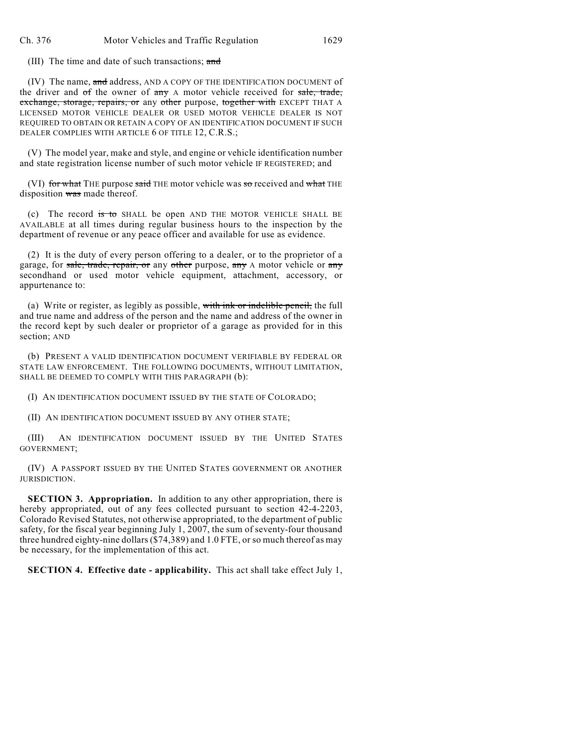(III) The time and date of such transactions; and

(IV) The name, and address, AND A COPY OF THE IDENTIFICATION DOCUMENT of the driver and of the owner of any A motor vehicle received for sale, trade, exchange, storage, repairs, or any other purpose, together with EXCEPT THAT A LICENSED MOTOR VEHICLE DEALER OR USED MOTOR VEHICLE DEALER IS NOT REQUIRED TO OBTAIN OR RETAIN A COPY OF AN IDENTIFICATION DOCUMENT IF SUCH DEALER COMPLIES WITH ARTICLE 6 OF TITLE 12, C.R.S.;

(V) The model year, make and style, and engine or vehicle identification number and state registration license number of such motor vehicle IF REGISTERED; and

(VI) for what THE purpose said THE motor vehicle was so received and what THE disposition was made thereof.

(c) The record is to SHALL be open AND THE MOTOR VEHICLE SHALL BE AVAILABLE at all times during regular business hours to the inspection by the department of revenue or any peace officer and available for use as evidence.

(2) It is the duty of every person offering to a dealer, or to the proprietor of a garage, for sale, trade, repair, or any other purpose, any A motor vehicle or any secondhand or used motor vehicle equipment, attachment, accessory, or appurtenance to:

(a) Write or register, as legibly as possible, with ink or indelible pencil, the full and true name and address of the person and the name and address of the owner in the record kept by such dealer or proprietor of a garage as provided for in this section; AND

(b) PRESENT A VALID IDENTIFICATION DOCUMENT VERIFIABLE BY FEDERAL OR STATE LAW ENFORCEMENT. THE FOLLOWING DOCUMENTS, WITHOUT LIMITATION, SHALL BE DEEMED TO COMPLY WITH THIS PARAGRAPH (b):

(I) AN IDENTIFICATION DOCUMENT ISSUED BY THE STATE OF COLORADO;

(II) AN IDENTIFICATION DOCUMENT ISSUED BY ANY OTHER STATE;

(III) AN IDENTIFICATION DOCUMENT ISSUED BY THE UNITED STATES GOVERNMENT;

(IV) A PASSPORT ISSUED BY THE UNITED STATES GOVERNMENT OR ANOTHER JURISDICTION.

**SECTION 3. Appropriation.** In addition to any other appropriation, there is hereby appropriated, out of any fees collected pursuant to section 42-4-2203, Colorado Revised Statutes, not otherwise appropriated, to the department of public safety, for the fiscal year beginning July 1, 2007, the sum of seventy-four thousand three hundred eighty-nine dollars (\$74,389) and 1.0 FTE, or so much thereof as may be necessary, for the implementation of this act.

**SECTION 4. Effective date - applicability.** This act shall take effect July 1,